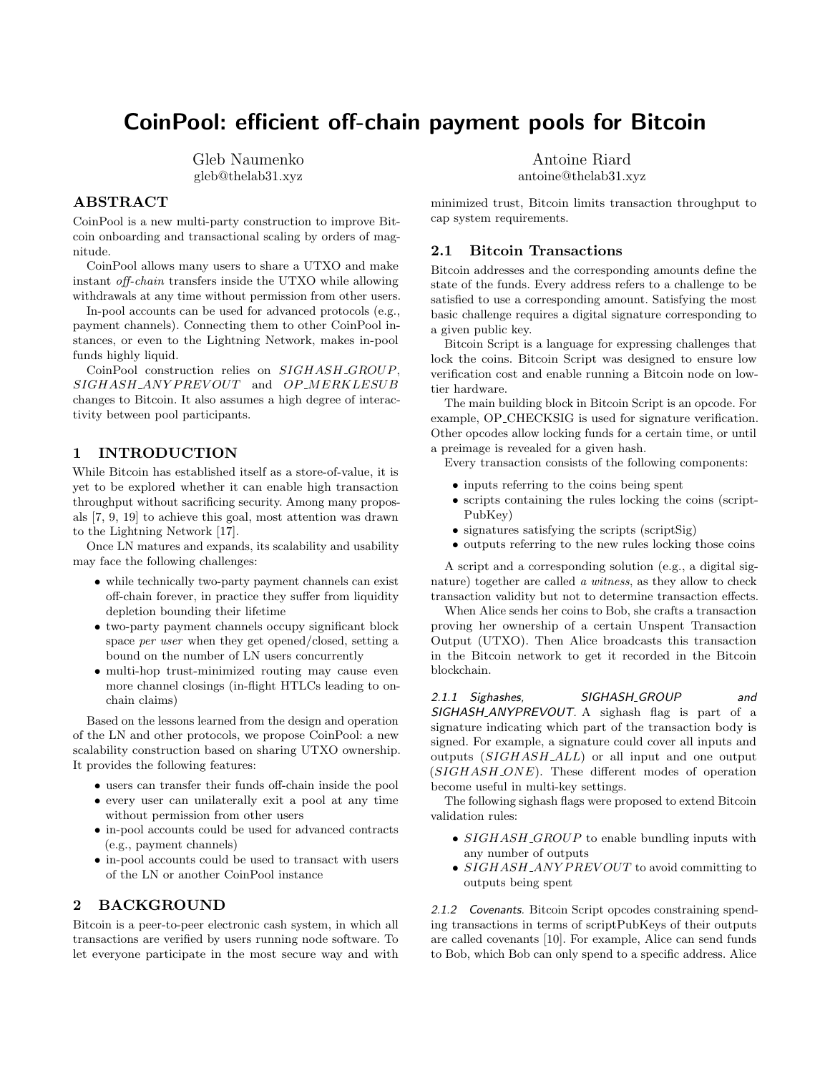# CoinPool: efficient off-chain payment pools for Bitcoin

Gleb Naumenko gleb@thelab31.xyz

## ABSTRACT

CoinPool is a new multi-party construction to improve Bitcoin onboarding and transactional scaling by orders of magnitude.

CoinPool allows many users to share a UTXO and make instant off-chain transfers inside the UTXO while allowing withdrawals at any time without permission from other users.

In-pool accounts can be used for advanced protocols (e.g., payment channels). Connecting them to other CoinPool instances, or even to the Lightning Network, makes in-pool funds highly liquid.

CoinPool construction relies on SIGHASH\_GROUP,  $SIGHASH \_ANYPREVOUT$  and  $OP \_MERKLESUB$ changes to Bitcoin. It also assumes a high degree of interactivity between pool participants.

## 1 INTRODUCTION

While Bitcoin has established itself as a store-of-value, it is yet to be explored whether it can enable high transaction throughput without sacrificing security. Among many proposals [\[7,](#page-7-0) [9,](#page-7-1) [19\]](#page-7-2) to achieve this goal, most attention was drawn to the Lightning Network [\[17\]](#page-7-3).

Once LN matures and expands, its scalability and usability may face the following challenges:

- ∙ while technically two-party payment channels can exist off-chain forever, in practice they suffer from liquidity depletion bounding their lifetime
- ∙ two-party payment channels occupy significant block space per user when they get opened/closed, setting a bound on the number of LN users concurrently
- ∙ multi-hop trust-minimized routing may cause even more channel closings (in-flight HTLCs leading to onchain claims)

Based on the lessons learned from the design and operation of the LN and other protocols, we propose CoinPool: a new scalability construction based on sharing UTXO ownership. It provides the following features:

- ∙ users can transfer their funds off-chain inside the pool
- ∙ every user can unilaterally exit a pool at any time without permission from other users
- ∙ in-pool accounts could be used for advanced contracts (e.g., payment channels)
- ∙ in-pool accounts could be used to transact with users of the LN or another CoinPool instance

## 2 BACKGROUND

Bitcoin is a peer-to-peer electronic cash system, in which all transactions are verified by users running node software. To let everyone participate in the most secure way and with Antoine Riard

antoine@thelab31.xyz

minimized trust, Bitcoin limits transaction throughput to cap system requirements.

#### 2.1 Bitcoin Transactions

Bitcoin addresses and the corresponding amounts define the state of the funds. Every address refers to a challenge to be satisfied to use a corresponding amount. Satisfying the most basic challenge requires a digital signature corresponding to a given public key.

Bitcoin Script is a language for expressing challenges that lock the coins. Bitcoin Script was designed to ensure low verification cost and enable running a Bitcoin node on lowtier hardware.

The main building block in Bitcoin Script is an opcode. For example, OP CHECKSIG is used for signature verification. Other opcodes allow locking funds for a certain time, or until a preimage is revealed for a given hash.

Every transaction consists of the following components:

- ∙ inputs referring to the coins being spent
- ∙ scripts containing the rules locking the coins (script-PubKey)
- ∙ signatures satisfying the scripts (scriptSig)
- ∙ outputs referring to the new rules locking those coins

A script and a corresponding solution (e.g., a digital signature) together are called a witness, as they allow to check transaction validity but not to determine transaction effects.

When Alice sends her coins to Bob, she crafts a transaction proving her ownership of a certain Unspent Transaction Output (UTXO). Then Alice broadcasts this transaction in the Bitcoin network to get it recorded in the Bitcoin blockchain.

2.1.1 Sighashes, SIGHASH\_GROUP and SIGHASH\_ANYPREVOUT. A sighash flag is part of a signature indicating which part of the transaction body is signed. For example, a signature could cover all inputs and outputs  $(SIGHASH\_ALL)$  or all input and one output  $(SIGHASH \_ONE)$ . These different modes of operation become useful in multi-key settings.

The following sighash flags were proposed to extend Bitcoin validation rules:

- SIGHASH\_GROUP to enable bundling inputs with any number of outputs
- SIGHASH\_ANY PREVOUT to avoid committing to outputs being spent

2.1.2 Covenants. Bitcoin Script opcodes constraining spending transactions in terms of scriptPubKeys of their outputs are called covenants [\[10\]](#page-7-4). For example, Alice can send funds to Bob, which Bob can only spend to a specific address. Alice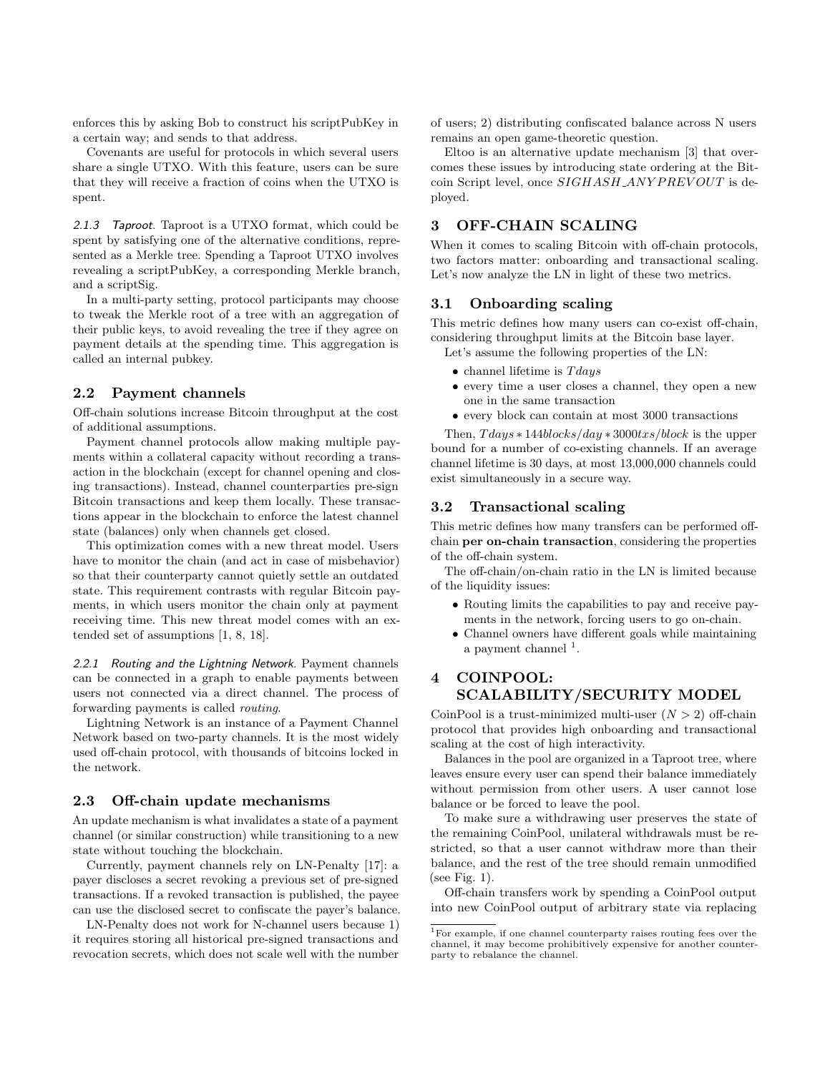enforces this by asking Bob to construct his scriptPubKey in a certain way; and sends to that address.

Covenants are useful for protocols in which several users share a single UTXO. With this feature, users can be sure that they will receive a fraction of coins when the UTXO is spent.

2.1.3 Taproot. Taproot is a UTXO format, which could be spent by satisfying one of the alternative conditions, represented as a Merkle tree. Spending a Taproot UTXO involves revealing a scriptPubKey, a corresponding Merkle branch, and a scriptSig.

In a multi-party setting, protocol participants may choose to tweak the Merkle root of a tree with an aggregation of their public keys, to avoid revealing the tree if they agree on payment details at the spending time. This aggregation is called an internal pubkey.

#### 2.2 Payment channels

Off-chain solutions increase Bitcoin throughput at the cost of additional assumptions.

Payment channel protocols allow making multiple payments within a collateral capacity without recording a transaction in the blockchain (except for channel opening and closing transactions). Instead, channel counterparties pre-sign Bitcoin transactions and keep them locally. These transactions appear in the blockchain to enforce the latest channel state (balances) only when channels get closed.

This optimization comes with a new threat model. Users have to monitor the chain (and act in case of misbehavior) so that their counterparty cannot quietly settle an outdated state. This requirement contrasts with regular Bitcoin payments, in which users monitor the chain only at payment receiving time. This new threat model comes with an extended set of assumptions [\[1,](#page-6-0) [8,](#page-7-5) [18\]](#page-7-6).

2.2.1 Routing and the Lightning Network. Payment channels can be connected in a graph to enable payments between users not connected via a direct channel. The process of forwarding payments is called routing.

Lightning Network is an instance of a Payment Channel Network based on two-party channels. It is the most widely used off-chain protocol, with thousands of bitcoins locked in the network.

#### 2.3 Off-chain update mechanisms

An update mechanism is what invalidates a state of a payment channel (or similar construction) while transitioning to a new state without touching the blockchain.

Currently, payment channels rely on LN-Penalty [\[17\]](#page-7-3): a payer discloses a secret revoking a previous set of pre-signed transactions. If a revoked transaction is published, the payee can use the disclosed secret to confiscate the payer's balance.

LN-Penalty does not work for N-channel users because 1) it requires storing all historical pre-signed transactions and revocation secrets, which does not scale well with the number of users; 2) distributing confiscated balance across N users remains an open game-theoretic question.

Eltoo is an alternative update mechanism [\[3\]](#page-6-1) that overcomes these issues by introducing state ordering at the Bitcoin Script level, once  $SIGHASH \_ANY PREVOUT$  is deployed.

### 3 OFF-CHAIN SCALING

When it comes to scaling Bitcoin with off-chain protocols, two factors matter: onboarding and transactional scaling. Let's now analyze the LN in light of these two metrics.

## 3.1 Onboarding scaling

This metric defines how many users can co-exist off-chain, considering throughput limits at the Bitcoin base layer.

Let's assume the following properties of the LN:

- channel lifetime is  $Tdays$
- ∙ every time a user closes a channel, they open a new one in the same transaction
- ∙ every block can contain at most 3000 transactions

Then,  $T days * 144 blocks/day * 3000txs-block$  is the upper bound for a number of co-existing channels. If an average channel lifetime is 30 days, at most 13,000,000 channels could exist simultaneously in a secure way.

#### 3.2 Transactional scaling

This metric defines how many transfers can be performed offchain per on-chain transaction, considering the properties of the off-chain system.

The off-chain/on-chain ratio in the LN is limited because of the liquidity issues:

- ∙ Routing limits the capabilities to pay and receive payments in the network, forcing users to go on-chain.
- ∙ Channel owners have different goals while maintaining a payment channel  $<sup>1</sup>$  $<sup>1</sup>$  $<sup>1</sup>$ .</sup>

# 4 COINPOOL: SCALABILITY/SECURITY MODEL

CoinPool is a trust-minimized multi-user  $(N > 2)$  off-chain protocol that provides high onboarding and transactional scaling at the cost of high interactivity.

Balances in the pool are organized in a Taproot tree, where leaves ensure every user can spend their balance immediately without permission from other users. A user cannot lose balance or be forced to leave the pool.

To make sure a withdrawing user preserves the state of the remaining CoinPool, unilateral withdrawals must be restricted, so that a user cannot withdraw more than their balance, and the rest of the tree should remain unmodified (see Fig. [1\)](#page-2-0).

Off-chain transfers work by spending a CoinPool output into new CoinPool output of arbitrary state via replacing

<span id="page-1-0"></span> $^1\rm{For\ example,}$  if one channel counterparty raises routing fees over the channel, it may become prohibitively expensive for another counterparty to rebalance the channel.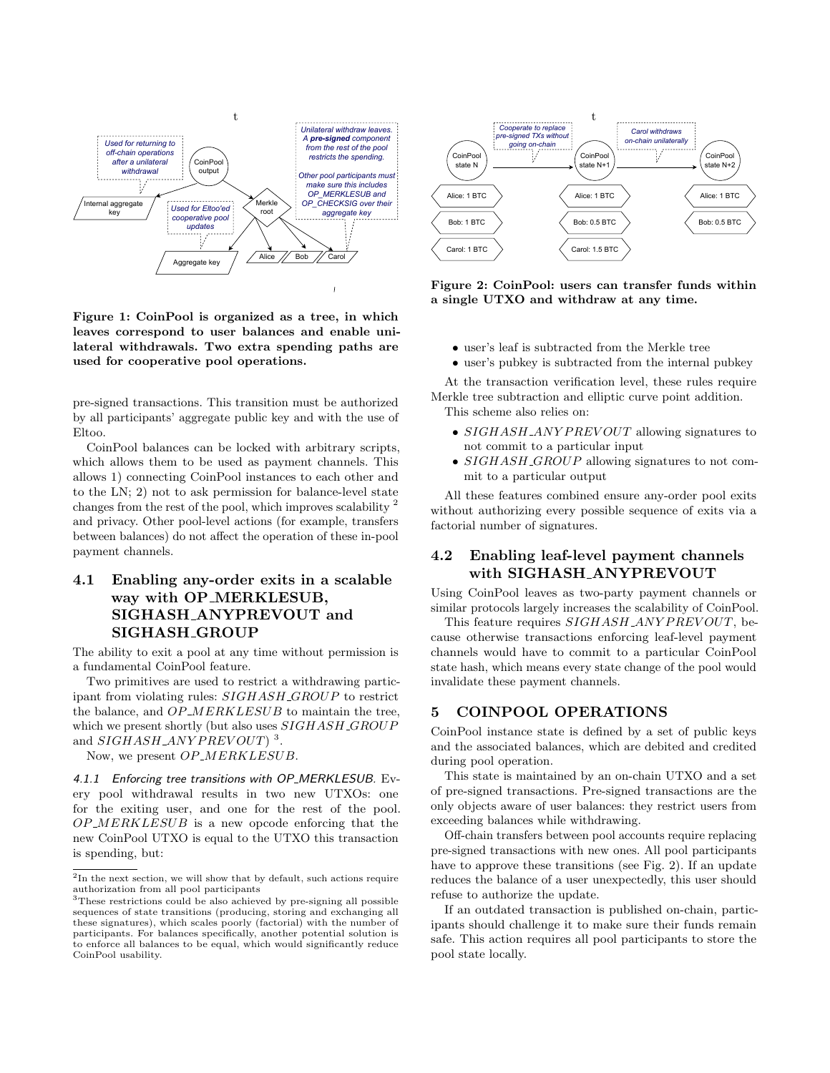<span id="page-2-0"></span>

Figure 1: CoinPool is organized as a tree, in which leaves correspond to user balances and enable unilateral withdrawals. Two extra spending paths are used for cooperative pool operations.

pre-signed transactions. This transition must be authorized by all participants' aggregate public key and with the use of Eltoo.

CoinPool balances can be locked with arbitrary scripts, which allows them to be used as payment channels. This allows 1) connecting CoinPool instances to each other and to the LN; 2) not to ask permission for balance-level state changes from the rest of the pool, which improves scalability [2](#page-2-1) and privacy. Other pool-level actions (for example, transfers between balances) do not affect the operation of these in-pool payment channels.

# 4.1 Enabling any-order exits in a scalable way with OP MERKLESUB, SIGHASH ANYPREVOUT and SIGHASH GROUP

The ability to exit a pool at any time without permission is a fundamental CoinPool feature.

Two primitives are used to restrict a withdrawing participant from violating rules:  $SIGHASH \_GROUP$  to restrict the balance, and  $OP\_MERKLESUB$  to maintain the tree, which we present shortly (but also uses  $SIGHASH \_GROUP$ and  $SIGHASH \_ANYPREVOUT$ )<sup>[3](#page-2-2)</sup>.

Now, we present OP\_MERKLESUB.

4.1.1 Enforcing tree transitions with OP\_MERKLESUB. Every pool withdrawal results in two new UTXOs: one for the exiting user, and one for the rest of the pool.  $OP\_MERKLESUB$  is a new opcode enforcing that the new CoinPool UTXO is equal to the UTXO this transaction is spending, but:

<span id="page-2-3"></span>

Figure 2: CoinPool: users can transfer funds within a single UTXO and withdraw at any time.

- ∙ user's leaf is subtracted from the Merkle tree
- ∙ user's pubkey is subtracted from the internal pubkey

At the transaction verification level, these rules require Merkle tree subtraction and elliptic curve point addition. This scheme also relies on:

- SIGHASH\_ANYPREVOUT allowing signatures to not commit to a particular input
- $SIGHASH \subseteq GROUP$  allowing signatures to not commit to a particular output

All these features combined ensure any-order pool exits without authorizing every possible sequence of exits via a factorial number of signatures.

## 4.2 Enabling leaf-level payment channels with SIGHASH ANYPREVOUT

Using CoinPool leaves as two-party payment channels or similar protocols largely increases the scalability of CoinPool.

This feature requires  $SIGHASH \_ANY PREVOUT$ , because otherwise transactions enforcing leaf-level payment channels would have to commit to a particular CoinPool state hash, which means every state change of the pool would invalidate these payment channels.

#### 5 COINPOOL OPERATIONS

CoinPool instance state is defined by a set of public keys and the associated balances, which are debited and credited during pool operation.

This state is maintained by an on-chain UTXO and a set of pre-signed transactions. Pre-signed transactions are the only objects aware of user balances: they restrict users from exceeding balances while withdrawing.

Off-chain transfers between pool accounts require replacing pre-signed transactions with new ones. All pool participants have to approve these transitions (see Fig. [2\)](#page-2-3). If an update reduces the balance of a user unexpectedly, this user should refuse to authorize the update.

If an outdated transaction is published on-chain, participants should challenge it to make sure their funds remain safe. This action requires all pool participants to store the pool state locally.

<span id="page-2-1"></span><sup>&</sup>lt;sup>2</sup>In the next section, we will show that by default, such actions require authorization from all pool participants <sup>3</sup>These restrictions could be also achieved by pre-signing all possible

<span id="page-2-2"></span>sequences of state transitions (producing, storing and exchanging all these signatures), which scales poorly (factorial) with the number of participants. For balances specifically, another potential solution is to enforce all balances to be equal, which would significantly reduce CoinPool usability.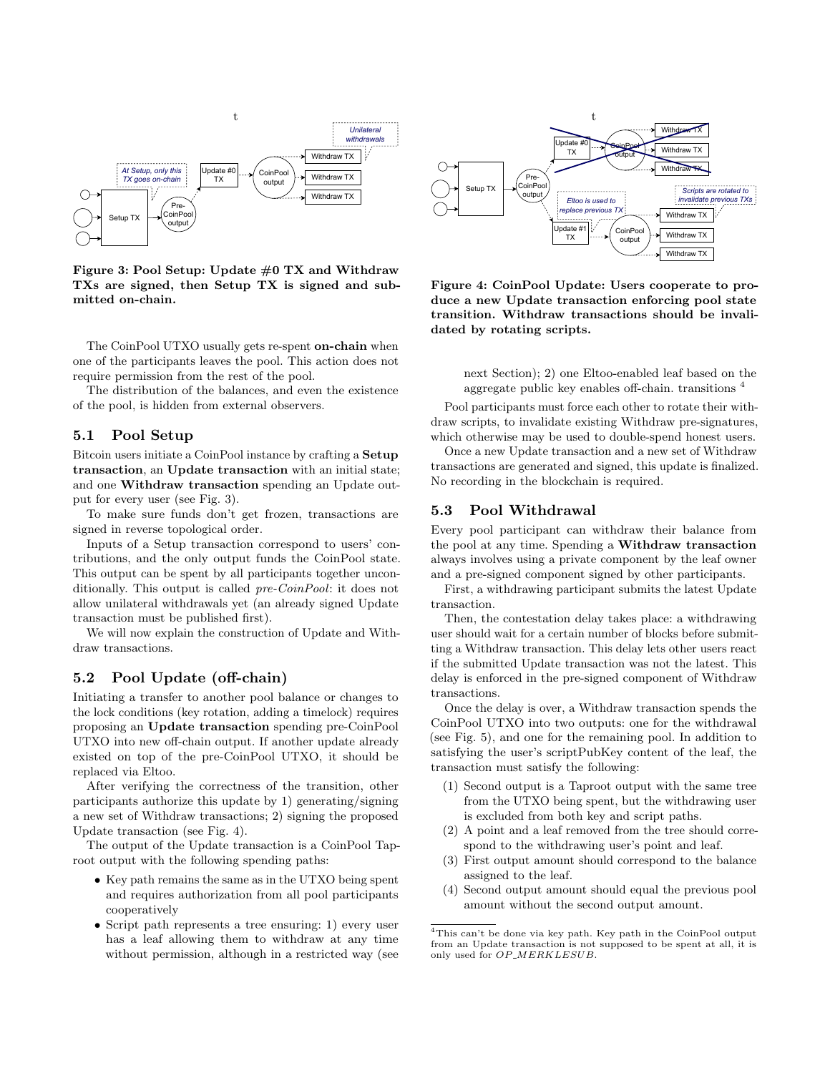<span id="page-3-0"></span>

Figure 3: Pool Setup: Update #0 TX and Withdraw TXs are signed, then Setup TX is signed and submitted on-chain.

The CoinPool UTXO usually gets re-spent on-chain when one of the participants leaves the pool. This action does not require permission from the rest of the pool.

The distribution of the balances, and even the existence of the pool, is hidden from external observers.

#### 5.1 Pool Setup

Bitcoin users initiate a CoinPool instance by crafting a Setup transaction, an Update transaction with an initial state; and one Withdraw transaction spending an Update output for every user (see Fig. [3\)](#page-3-0).

To make sure funds don't get frozen, transactions are signed in reverse topological order.

Inputs of a Setup transaction correspond to users' contributions, and the only output funds the CoinPool state. This output can be spent by all participants together unconditionally. This output is called pre-CoinPool: it does not allow unilateral withdrawals yet (an already signed Update transaction must be published first).

We will now explain the construction of Update and Withdraw transactions.

## 5.2 Pool Update (off-chain)

Initiating a transfer to another pool balance or changes to the lock conditions (key rotation, adding a timelock) requires proposing an Update transaction spending pre-CoinPool UTXO into new off-chain output. If another update already existed on top of the pre-CoinPool UTXO, it should be replaced via Eltoo.

After verifying the correctness of the transition, other participants authorize this update by 1) generating/signing a new set of Withdraw transactions; 2) signing the proposed Update transaction (see Fig. [4\)](#page-3-1).

The output of the Update transaction is a CoinPool Taproot output with the following spending paths:

- ∙ Key path remains the same as in the UTXO being spent and requires authorization from all pool participants cooperatively
- ∙ Script path represents a tree ensuring: 1) every user has a leaf allowing them to withdraw at any time without permission, although in a restricted way (see

<span id="page-3-1"></span>

Figure 4: CoinPool Update: Users cooperate to produce a new Update transaction enforcing pool state transition. Withdraw transactions should be invalidated by rotating scripts.

next Section); 2) one Eltoo-enabled leaf based on the aggregate public key enables off-chain. transitions [4](#page-3-2)

Pool participants must force each other to rotate their withdraw scripts, to invalidate existing Withdraw pre-signatures, which otherwise may be used to double-spend honest users.

Once a new Update transaction and a new set of Withdraw transactions are generated and signed, this update is finalized. No recording in the blockchain is required.

#### 5.3 Pool Withdrawal

Every pool participant can withdraw their balance from the pool at any time. Spending a Withdraw transaction always involves using a private component by the leaf owner and a pre-signed component signed by other participants.

First, a withdrawing participant submits the latest Update transaction.

Then, the contestation delay takes place: a withdrawing user should wait for a certain number of blocks before submitting a Withdraw transaction. This delay lets other users react if the submitted Update transaction was not the latest. This delay is enforced in the pre-signed component of Withdraw transactions.

Once the delay is over, a Withdraw transaction spends the CoinPool UTXO into two outputs: one for the withdrawal (see Fig. [5\)](#page-4-0), and one for the remaining pool. In addition to satisfying the user's scriptPubKey content of the leaf, the transaction must satisfy the following:

- (1) Second output is a Taproot output with the same tree from the UTXO being spent, but the withdrawing user is excluded from both key and script paths.
- (2) A point and a leaf removed from the tree should correspond to the withdrawing user's point and leaf.
- (3) First output amount should correspond to the balance assigned to the leaf.
- (4) Second output amount should equal the previous pool amount without the second output amount.

<span id="page-3-2"></span> $\overline{\text{4This}}$  can't be done via key path. Key path in the CoinPool output from an Update transaction is not supposed to be spent at all, it is only used for  $OP\_MERKLESUB$ .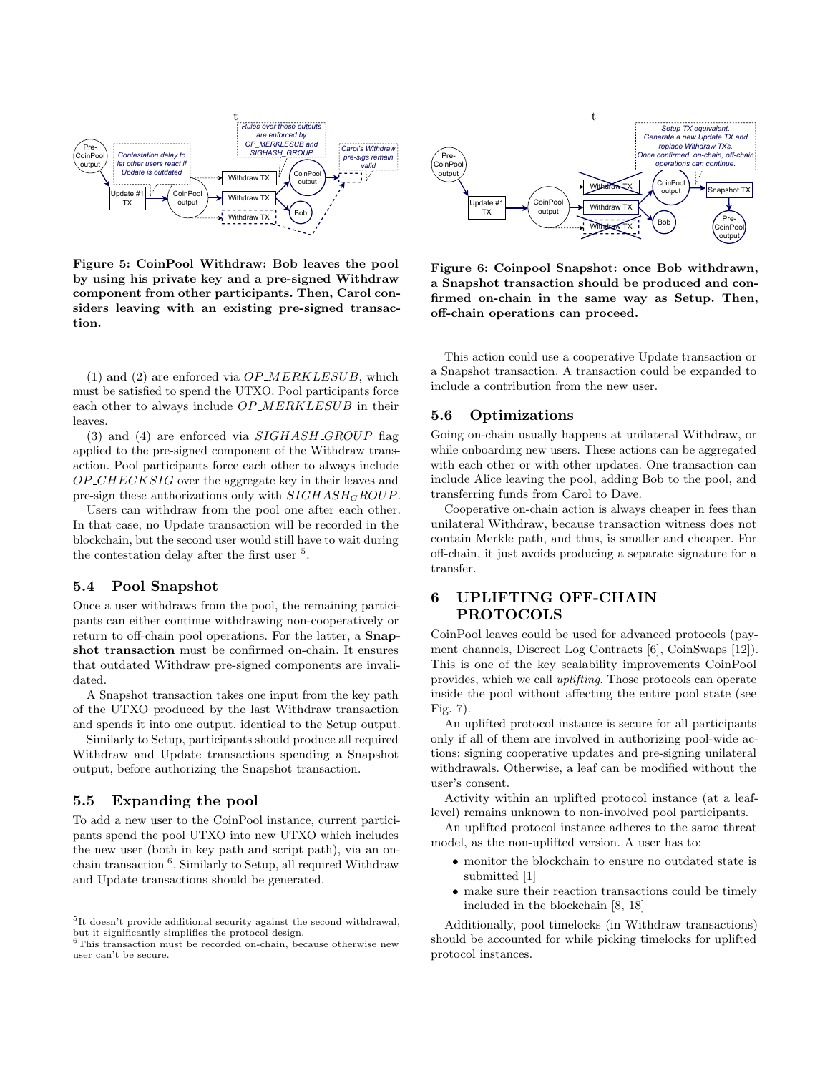<span id="page-4-0"></span>

Figure 5: CoinPool Withdraw: Bob leaves the pool by using his private key and a pre-signed Withdraw component from other participants. Then, Carol considers leaving with an existing pre-signed transaction.

(1) and (2) are enforced via  $OP\_MERKLESUB$ , which must be satisfied to spend the UTXO. Pool participants force each other to always include  $OP\_MERKLESUB$  in their leaves.

(3) and (4) are enforced via  $SIGHASH \subseteq GROUP$  flag applied to the pre-signed component of the Withdraw transaction. Pool participants force each other to always include  $OP\_CHECKSIG$  over the aggregate key in their leaves and pre-sign these authorizations only with  $SIGHASH_GROUP$ .

Users can withdraw from the pool one after each other. In that case, no Update transaction will be recorded in the blockchain, but the second user would still have to wait during the contestation delay after the first user <sup>[5](#page-4-1)</sup>.

#### 5.4 Pool Snapshot

Once a user withdraws from the pool, the remaining participants can either continue withdrawing non-cooperatively or return to off-chain pool operations. For the latter, a Snapshot transaction must be confirmed on-chain. It ensures that outdated Withdraw pre-signed components are invalidated.

A Snapshot transaction takes one input from the key path of the UTXO produced by the last Withdraw transaction and spends it into one output, identical to the Setup output.

Similarly to Setup, participants should produce all required Withdraw and Update transactions spending a Snapshot output, before authorizing the Snapshot transaction.

#### 5.5 Expanding the pool

To add a new user to the CoinPool instance, current participants spend the pool UTXO into new UTXO which includes the new user (both in key path and script path), via an onchain transaction [6](#page-4-2) . Similarly to Setup, all required Withdraw and Update transactions should be generated.



Figure 6: Coinpool Snapshot: once Bob withdrawn, a Snapshot transaction should be produced and confirmed on-chain in the same way as Setup. Then, off-chain operations can proceed.

This action could use a cooperative Update transaction or a Snapshot transaction. A transaction could be expanded to include a contribution from the new user.

## 5.6 Optimizations

Going on-chain usually happens at unilateral Withdraw, or while onboarding new users. These actions can be aggregated with each other or with other updates. One transaction can include Alice leaving the pool, adding Bob to the pool, and transferring funds from Carol to Dave.

Cooperative on-chain action is always cheaper in fees than unilateral Withdraw, because transaction witness does not contain Merkle path, and thus, is smaller and cheaper. For off-chain, it just avoids producing a separate signature for a transfer.

## 6 UPLIFTING OFF-CHAIN PROTOCOLS

CoinPool leaves could be used for advanced protocols (payment channels, Discreet Log Contracts [\[6\]](#page-7-7), CoinSwaps [\[12\]](#page-7-8)). This is one of the key scalability improvements CoinPool provides, which we call uplifting. Those protocols can operate inside the pool without affecting the entire pool state (see Fig. [7\)](#page-5-0).

An uplifted protocol instance is secure for all participants only if all of them are involved in authorizing pool-wide actions: signing cooperative updates and pre-signing unilateral withdrawals. Otherwise, a leaf can be modified without the user's consent.

Activity within an uplifted protocol instance (at a leaflevel) remains unknown to non-involved pool participants.

An uplifted protocol instance adheres to the same threat model, as the non-uplifted version. A user has to:

- ∙ monitor the blockchain to ensure no outdated state is submitted [\[1\]](#page-6-0)
- ∙ make sure their reaction transactions could be timely included in the blockchain [\[8,](#page-7-5) [18\]](#page-7-6)

Additionally, pool timelocks (in Withdraw transactions) should be accounted for while picking timelocks for uplifted protocol instances.

<span id="page-4-1"></span><sup>5</sup> It doesn't provide additional security against the second withdrawal, but it significantly simplifies the protocol design.

<span id="page-4-2"></span> ${}^{6}$ This transaction must be recorded on-chain, because otherwise new user can't be secure.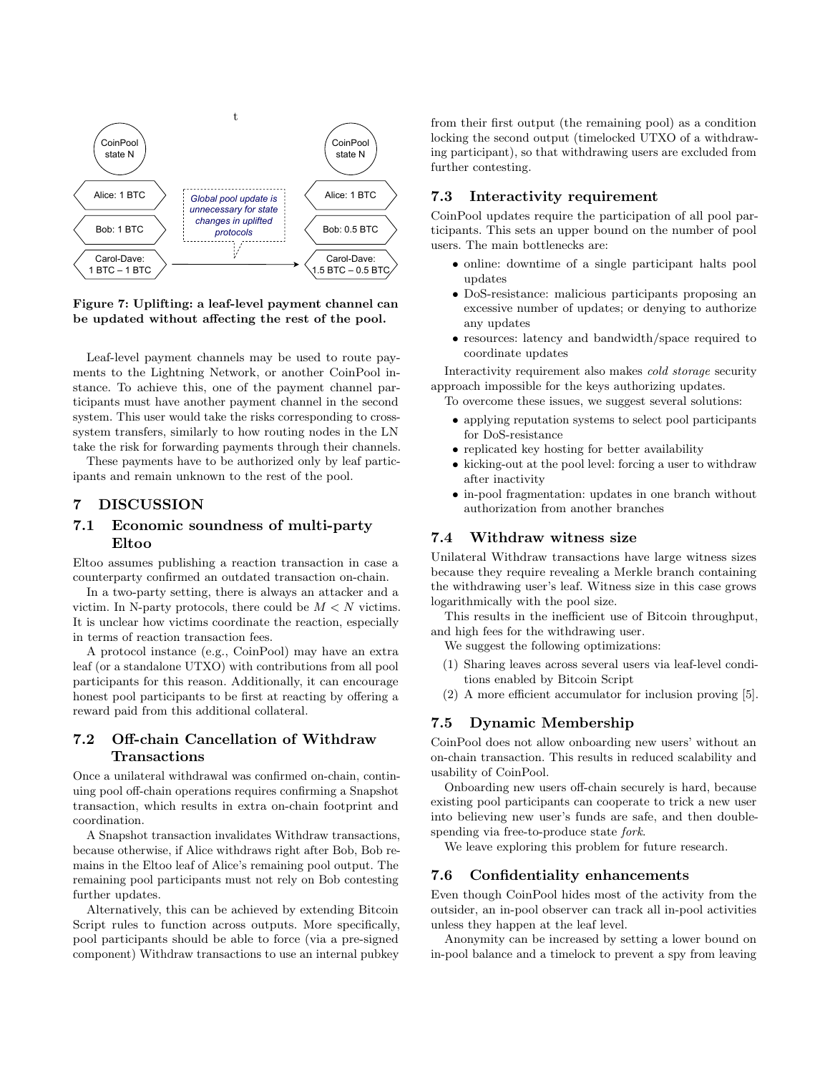<span id="page-5-0"></span>

Figure 7: Uplifting: a leaf-level payment channel can be updated without affecting the rest of the pool.

Leaf-level payment channels may be used to route payments to the Lightning Network, or another CoinPool instance. To achieve this, one of the payment channel participants must have another payment channel in the second system. This user would take the risks corresponding to crosssystem transfers, similarly to how routing nodes in the LN take the risk for forwarding payments through their channels.

These payments have to be authorized only by leaf participants and remain unknown to the rest of the pool.

#### 7 DISCUSSION

## 7.1 Economic soundness of multi-party Eltoo

Eltoo assumes publishing a reaction transaction in case a counterparty confirmed an outdated transaction on-chain.

In a two-party setting, there is always an attacker and a victim. In N-party protocols, there could be  $M < N$  victims. It is unclear how victims coordinate the reaction, especially in terms of reaction transaction fees.

A protocol instance (e.g., CoinPool) may have an extra leaf (or a standalone UTXO) with contributions from all pool participants for this reason. Additionally, it can encourage honest pool participants to be first at reacting by offering a reward paid from this additional collateral.

## 7.2 Off-chain Cancellation of Withdraw Transactions

Once a unilateral withdrawal was confirmed on-chain, continuing pool off-chain operations requires confirming a Snapshot transaction, which results in extra on-chain footprint and coordination.

A Snapshot transaction invalidates Withdraw transactions, because otherwise, if Alice withdraws right after Bob, Bob remains in the Eltoo leaf of Alice's remaining pool output. The remaining pool participants must not rely on Bob contesting further updates.

Alternatively, this can be achieved by extending Bitcoin Script rules to function across outputs. More specifically, pool participants should be able to force (via a pre-signed component) Withdraw transactions to use an internal pubkey from their first output (the remaining pool) as a condition locking the second output (timelocked UTXO of a withdrawing participant), so that withdrawing users are excluded from further contesting.

#### 7.3 Interactivity requirement

CoinPool updates require the participation of all pool participants. This sets an upper bound on the number of pool users. The main bottlenecks are:

- ∙ online: downtime of a single participant halts pool updates
- ∙ DoS-resistance: malicious participants proposing an excessive number of updates; or denying to authorize any updates
- ∙ resources: latency and bandwidth/space required to coordinate updates

Interactivity requirement also makes cold storage security approach impossible for the keys authorizing updates.

To overcome these issues, we suggest several solutions:

- ∙ applying reputation systems to select pool participants for DoS-resistance
- ∙ replicated key hosting for better availability
- ∙ kicking-out at the pool level: forcing a user to withdraw after inactivity
- ∙ in-pool fragmentation: updates in one branch without authorization from another branches

## 7.4 Withdraw witness size

Unilateral Withdraw transactions have large witness sizes because they require revealing a Merkle branch containing the withdrawing user's leaf. Witness size in this case grows logarithmically with the pool size.

This results in the inefficient use of Bitcoin throughput, and high fees for the withdrawing user.

- We suggest the following optimizations:
- (1) Sharing leaves across several users via leaf-level conditions enabled by Bitcoin Script
- (2) A more efficient accumulator for inclusion proving [\[5\]](#page-6-2).

## 7.5 Dynamic Membership

CoinPool does not allow onboarding new users' without an on-chain transaction. This results in reduced scalability and usability of CoinPool.

Onboarding new users off-chain securely is hard, because existing pool participants can cooperate to trick a new user into believing new user's funds are safe, and then doublespending via free-to-produce state fork.

We leave exploring this problem for future research.

#### 7.6 Confidentiality enhancements

Even though CoinPool hides most of the activity from the outsider, an in-pool observer can track all in-pool activities unless they happen at the leaf level.

Anonymity can be increased by setting a lower bound on in-pool balance and a timelock to prevent a spy from leaving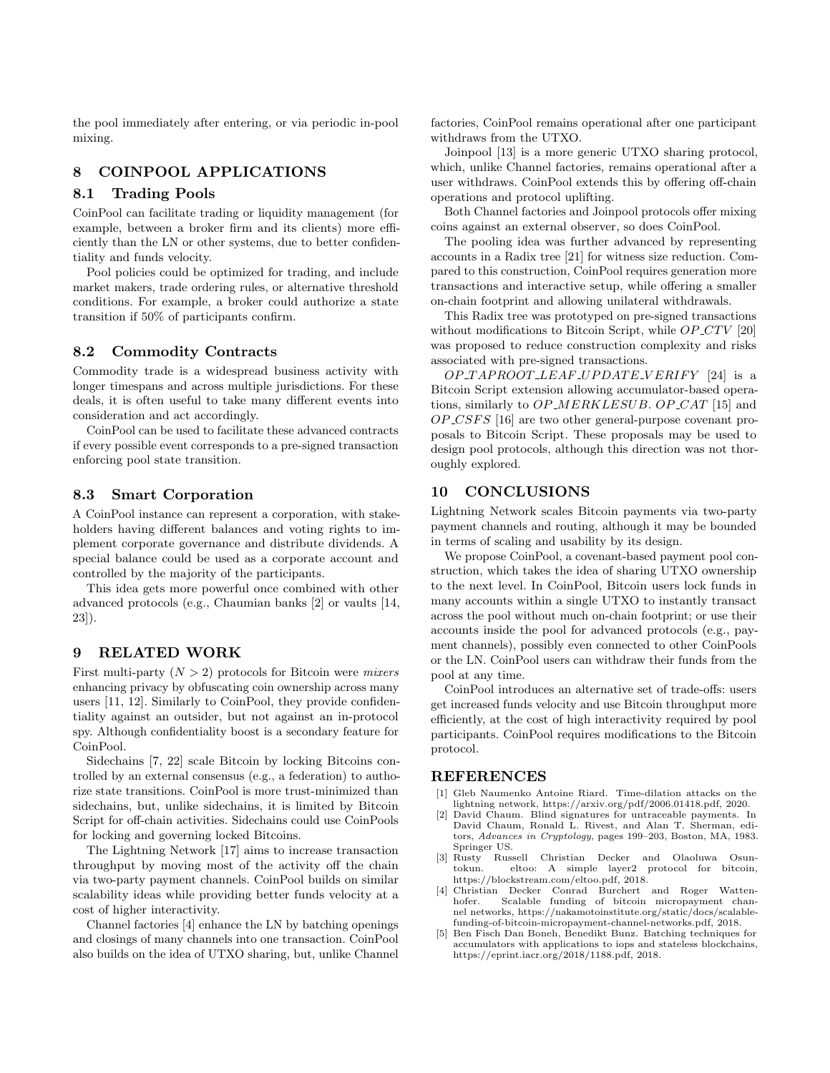the pool immediately after entering, or via periodic in-pool mixing.

## 8 COINPOOL APPLICATIONS

#### 8.1 Trading Pools

CoinPool can facilitate trading or liquidity management (for example, between a broker firm and its clients) more efficiently than the LN or other systems, due to better confidentiality and funds velocity.

Pool policies could be optimized for trading, and include market makers, trade ordering rules, or alternative threshold conditions. For example, a broker could authorize a state transition if 50% of participants confirm.

#### 8.2 Commodity Contracts

Commodity trade is a widespread business activity with longer timespans and across multiple jurisdictions. For these deals, it is often useful to take many different events into consideration and act accordingly.

CoinPool can be used to facilitate these advanced contracts if every possible event corresponds to a pre-signed transaction enforcing pool state transition.

#### 8.3 Smart Corporation

A CoinPool instance can represent a corporation, with stakeholders having different balances and voting rights to implement corporate governance and distribute dividends. A special balance could be used as a corporate account and controlled by the majority of the participants.

This idea gets more powerful once combined with other advanced protocols (e.g., Chaumian banks [\[2\]](#page-6-3) or vaults [\[14,](#page-7-9) [23\]](#page-7-10)).

#### 9 RELATED WORK

First multi-party  $(N > 2)$  protocols for Bitcoin were *mixers* enhancing privacy by obfuscating coin ownership across many users [\[11,](#page-7-11) [12\]](#page-7-8). Similarly to CoinPool, they provide confidentiality against an outsider, but not against an in-protocol spy. Although confidentiality boost is a secondary feature for CoinPool.

Sidechains [\[7,](#page-7-0) [22\]](#page-7-12) scale Bitcoin by locking Bitcoins controlled by an external consensus (e.g., a federation) to authorize state transitions. CoinPool is more trust-minimized than sidechains, but, unlike sidechains, it is limited by Bitcoin Script for off-chain activities. Sidechains could use CoinPools for locking and governing locked Bitcoins.

The Lightning Network [\[17\]](#page-7-3) aims to increase transaction throughput by moving most of the activity off the chain via two-party payment channels. CoinPool builds on similar scalability ideas while providing better funds velocity at a cost of higher interactivity.

Channel factories [\[4\]](#page-6-4) enhance the LN by batching openings and closings of many channels into one transaction. CoinPool also builds on the idea of UTXO sharing, but, unlike Channel factories, CoinPool remains operational after one participant withdraws from the UTXO.

Joinpool [\[13\]](#page-7-13) is a more generic UTXO sharing protocol, which, unlike Channel factories, remains operational after a user withdraws. CoinPool extends this by offering off-chain operations and protocol uplifting.

Both Channel factories and Joinpool protocols offer mixing coins against an external observer, so does CoinPool.

The pooling idea was further advanced by representing accounts in a Radix tree [\[21\]](#page-7-14) for witness size reduction. Compared to this construction, CoinPool requires generation more transactions and interactive setup, while offering a smaller on-chain footprint and allowing unilateral withdrawals.

This Radix tree was prototyped on pre-signed transactions without modifications to Bitcoin Script, while  $OP_CTV$  [\[20\]](#page-7-15) was proposed to reduce construction complexity and risks associated with pre-signed transactions.

 $OP\_TAPROOT\_LEAF\_UPDATE\_VERIFY$  [\[24\]](#page-7-16) is a Bitcoin Script extension allowing accumulator-based operations, similarly to  $OP\_MERKLESUB$ .  $OP\_CAT$  [\[15\]](#page-7-17) and  $OP\_CSFS$  [\[16\]](#page-7-18) are two other general-purpose covenant proposals to Bitcoin Script. These proposals may be used to design pool protocols, although this direction was not thoroughly explored.

## 10 CONCLUSIONS

Lightning Network scales Bitcoin payments via two-party payment channels and routing, although it may be bounded in terms of scaling and usability by its design.

We propose CoinPool, a covenant-based payment pool construction, which takes the idea of sharing UTXO ownership to the next level. In CoinPool, Bitcoin users lock funds in many accounts within a single UTXO to instantly transact across the pool without much on-chain footprint; or use their accounts inside the pool for advanced protocols (e.g., payment channels), possibly even connected to other CoinPools or the LN. CoinPool users can withdraw their funds from the pool at any time.

CoinPool introduces an alternative set of trade-offs: users get increased funds velocity and use Bitcoin throughput more efficiently, at the cost of high interactivity required by pool participants. CoinPool requires modifications to the Bitcoin protocol.

#### REFERENCES

- <span id="page-6-0"></span>[1] Gleb Naumenko Antoine Riard. Time-dilation attacks on the lightning network, https://arxiv.org/pdf/2006.01418.pdf, 2020.
- <span id="page-6-3"></span>[2] David Chaum. Blind signatures for untraceable payments. In David Chaum, Ronald L. Rivest, and Alan T. Sherman, editors, Advances in Cryptology, pages 199–203, Boston, MA, 1983. Springer US.<br>[3] Rusty Russell
- <span id="page-6-1"></span>Rusty Russell Christian Decker and Olaoluwa Osun-<br>tokun. eltoo: A simple laver2 protocol for bitcoin. eltoo: A simple layer2 protocol for bitcoin, https://blockstream.com/eltoo.pdf, 2018.
- <span id="page-6-4"></span>[4] Christian Decker Conrad Burchert and Roger Watten-Scalable funding of bitcoin micropayment channel networks, https://nakamotoinstitute.org/static/docs/scalablefunding-of-bitcoin-micropayment-channel-networks.pdf, 2018.
- <span id="page-6-2"></span>[5] Ben Fisch Dan Boneh, Benedikt Bunz. Batching techniques for accumulators with applications to iops and stateless blockchains, https://eprint.iacr.org/2018/1188.pdf, 2018.